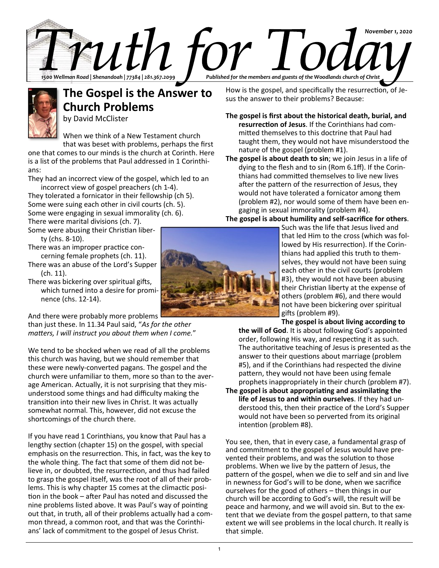



# **The Gospel is the Answer to Church Problems**

by David McClister

When we think of a New Testament church that was beset with problems, perhaps the first

one that comes to our minds is the church at Corinth. Here is a list of the problems that Paul addressed in 1 Corinthians:

They had an incorrect view of the gospel, which led to an incorrect view of gospel preachers (ch 1-4).

They tolerated a fornicator in their fellowship (ch 5). Some were suing each other in civil courts (ch. 5). Some were engaging in sexual immorality (ch. 6).

There were marital divisions (ch. 7). Some were abusing their Christian liberty (chs. 8-10).

There was an improper practice concerning female prophets (ch. 11).

There was an abuse of the Lord's Supper (ch. 11).

There was bickering over spiritual gifts, which turned into a desire for prominence (chs. 12-14).

And there were probably more problems

than just these. In 11.34 Paul said, "*As for the other matters, I will instruct you about them when I come.*"

We tend to be shocked when we read of all the problems this church was having, but we should remember that these were newly-converted pagans. The gospel and the church were unfamiliar to them, more so than to the average American. Actually, it is not surprising that they misunderstood some things and had difficulty making the transition into their new lives in Christ. It was actually somewhat normal. This, however, did not excuse the shortcomings of the church there.

If you have read 1 Corinthians, you know that Paul has a lengthy section (chapter 15) on the gospel, with special emphasis on the resurrection. This, in fact, was the key to the whole thing. The fact that some of them did not believe in, or doubted, the resurrection, and thus had failed to grasp the gospel itself, was the root of all of their problems. This is why chapter 15 comes at the climactic position in the book – after Paul has noted and discussed the nine problems listed above. It was Paul's way of pointing out that, in truth, all of their problems actually had a common thread, a common root, and that was the Corinthians' lack of commitment to the gospel of Jesus Christ.

How is the gospel, and specifically the resurrection, of Jesus the answer to their problems? Because:

**The gospel is first about the historical death, burial, and resurrection of Jesus**. If the Corinthians had committed themselves to this doctrine that Paul had taught them, they would not have misunderstood the nature of the gospel (problem #1).

**The gospel is about death to sin**; we join Jesus in a life of dying to the flesh and to sin (Rom 6.1ff). If the Corinthians had committed themselves to live new lives after the pattern of the resurrection of Jesus, they would not have tolerated a fornicator among them (problem #2), nor would some of them have been engaging in sexual immorality (problem #4).

**The gospel is about humility and self-sacrifice for others**.

Such was the life that Jesus lived and that led Him to the cross (which was followed by His resurrection). If the Corinthians had applied this truth to themselves, they would not have been suing each other in the civil courts (problem #3), they would not have been abusing their Christian liberty at the expense of others (problem #6), and there would not have been bickering over spiritual gifts (problem #9).

**The gospel is about living according to the will of God**. It is about following God's appointed order, following His way, and respecting it as such. The authoritative teaching of Jesus is presented as the answer to their questions about marriage (problem #5), and if the Corinthians had respected the divine pattern, they would not have been using female prophets inappropriately in their church (problem #7). **The gospel is about appropriating and assimilating the life of Jesus to and within ourselves**. If they had understood this, then their practice of the Lord's Supper

would not have been so perverted from its original intention (problem #8).

You see, then, that in every case, a fundamental grasp of and commitment to the gospel of Jesus would have prevented their problems, and was the solution to those problems. When we live by the pattern of Jesus, the pattern of the gospel, when we die to self and sin and live in newness for God's will to be done, when we sacrifice ourselves for the good of others – then things in our church will be according to God's will, the result will be peace and harmony, and we will avoid sin. But to the extent that we deviate from the gospel pattern, to that same extent we will see problems in the local church. It really is that simple.